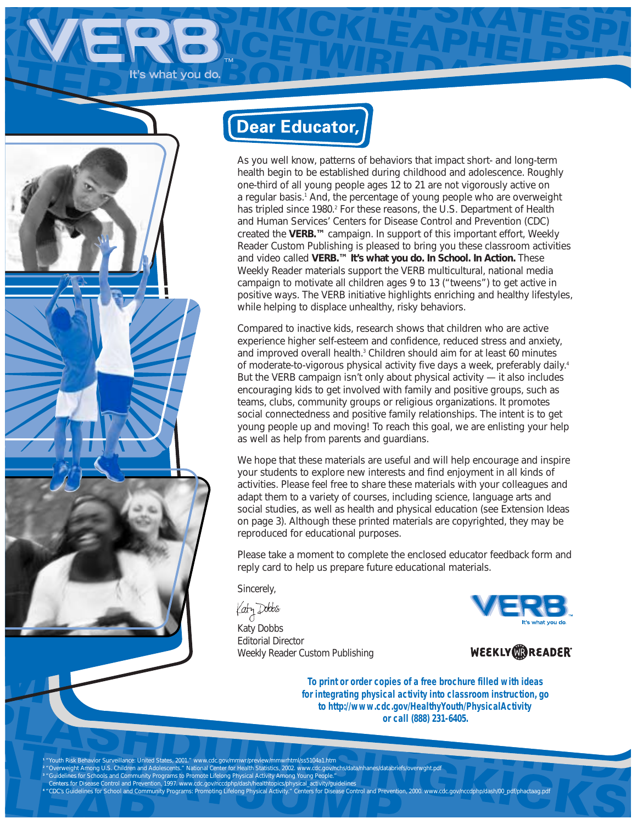It's what you do.



# **Dear Educator,**

As you well know, patterns of behaviors that impact short- and long-term health begin to be established during childhood and adolescence. Roughly one-third of all young people ages 12 to 21 are not vigorously active on a regular basis.<sup>1</sup> And, the percentage of young people who are overweight has tripled since 1980.<sup>2</sup> For these reasons, the U.S. Department of Health and Human Services' Centers for Disease Control and Prevention (CDC) created the **VERB.™** campaign. In support of this important effort, Weekly Reader Custom Publishing is pleased to bring you these classroom activities and video called **VERB.™ It's what you do. In School. In Action.** These Weekly Reader materials support the VERB multicultural, national media campaign to motivate *all* children ages 9 to 13 ("tweens") to get active in positive ways. The VERB initiative highlights enriching and healthy lifestyles, while helping to displace unhealthy, risky behaviors.

Compared to inactive kids, research shows that children who are active experience higher self-esteem and confidence, reduced stress and anxiety, and improved overall health.<sup>3</sup> Children should aim for at least 60 minutes of moderate-to-vigorous physical activity five days a week, preferably daily.<sup>4</sup> But the VERB campaign isn't only about physical activity — it also includes encouraging kids to get involved with family and positive groups, such as teams, clubs, community groups or religious organizations. It promotes social connectedness and positive family relationships. The intent is to get young people up and moving! To reach this goal, we are enlisting your help as well as help from parents and guardians.

We hope that these materials are useful and will help encourage and inspire your students to explore new interests and find enjoyment in all kinds of activities. Please feel free to share these materials with your colleagues and adapt them to a variety of courses, including science, language arts and social studies, as well as health and physical education (see Extension Ideas on page 3). Although these printed materials are copyrighted, they may be reproduced for educational purposes.

Please take a moment to complete the enclosed educator feedback form and reply card to help us prepare future educational materials.

Sincerely,

Katy Dobbs

Katy Dobbs Editorial Director Weekly Reader Custom Publishing



WEEKLY**OOREADER** 

**To print or order copies of a free brochure filled with ideas for integrating physical activity into classroom instruction, go to** *http://www.cdc.gov/HealthyYouth/PhysicalActivity* **or call** *(888) 231-6405***.**

' "Youth Risk Behavior Surveillance: United States, 2001." www.cdc.gov/mmwr/preview/mmwrhtml/ss5104a1.htm<br><sup>2</sup> "Overweight Among U.S. Children and Adolescents." National Center for Health Statistics, 2002. www.cdc.gov/nchs/ " "Guidelines for Schools and Community Programs to Promote Lifelong Physical Activity Among Young People."<br>Centers for Disease Control and Prevention, 1997. www.cdc.gov/nccdphp/dash/healthtopics/physical\_activity/quidelin **<sup>4</sup>** "CDC's Guidelines for School and Community Programs: Promoting Lifelong Physical Activity." Centers for Disease Control and Prevention, 2000. www.cdc.gov/nccdphp/dash/00\_pdf/phactaag.pdf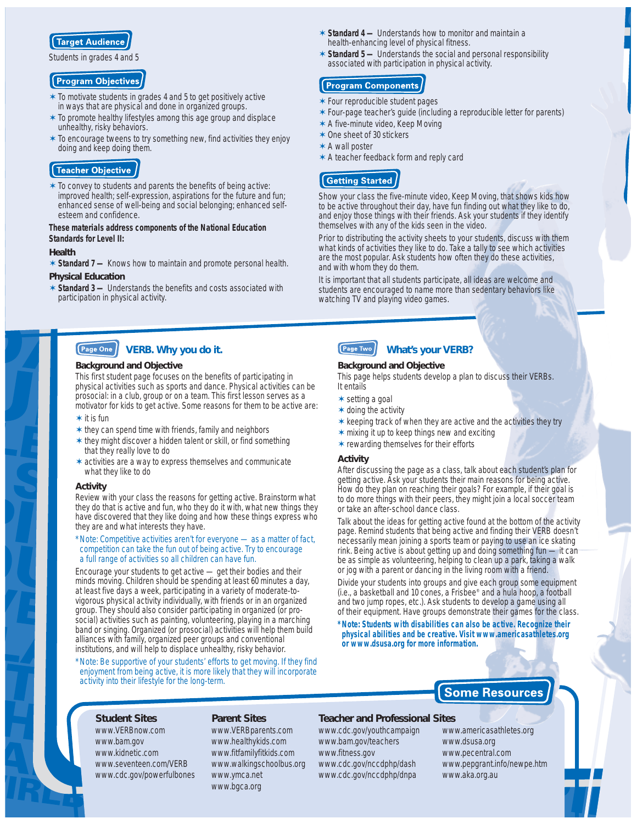

Students in grades 4 and 5

#### **Program Objectives**

- ✶ *To motivate students in grades 4 and 5 to get positively active in ways that are physical and done in organized groups.*
- ✶ *To promote healthy lifestyles among this age group and displace unhealthy, risky behaviors.*
- ✶ *To encourage tweens to try something new, find activities they enjoy doing and keep doing them.*

### Teacher Objective

✶ *To convey to students and parents the benefits of being active: improved health; self-expression, aspirations for the future and fun; enhanced sense of well-being and social belonging; enhanced selfesteem and confidence.* 

#### *These materials address components of the National Education Standards for Level II:*

#### *Health*

✶ *Standard 7 — Knows how to maintain and promote personal health.*

#### *Physical Education*

✶ *Standard 3 — Understands the benefits and costs associated with participation in physical activity.*

#### Page One **VERB. Why you do it.**

#### *Background and Objective*

This first student page focuses on the benefits of participating in physical activities such as sports and dance. Physical activities can be prosocial: in a club, group or on a team. This first lesson serves as a motivator for kids to get active. Some reasons for them to be active are:

#### ✶ *it is fun*

- ✶ *they can spend time with friends, family and neighbors*
- ✶ *they might discover a hidden talent or skill, or find something that they really love to do*
- ✶ *activities are a way to express themselves and communicate what they like to do*

#### *Activity*

Review with your class the reasons for getting active. Brainstorm what they do that is active and fun, who they do it with, what new things they have discovered that they like doing and how these things express who they are and what interests they have.

#### *\*Note: Competitive activities aren't for everyone — as a matter of fact, competition can take the fun out of being active. Try to encourage a full range of activities so all children can have fun.*

Encourage your students to get active — get their bodies and their minds moving. Children should be spending at least 60 minutes a day, at least five days a week, participating in a variety of moderate-tovigorous physical activity individually, with friends or in an organized group. They should also consider participating in organized (or prosocial) activities such as painting, volunteering, playing in a marching band or singing. Organized (or prosocial) activities will help them build alliances with family, organized peer groups and conventional institutions, and will help to displace unhealthy, risky behavior.

*\*Note: Be supportive of your students' efforts to get moving. If they find enjoyment from being active, it is more likely that they will incorporate activity into their lifestyle for the long-term.* 

- ✶ *Standard 4 — Understands how to monitor and maintain a health-enhancing level of physical fitness.*
- ✶ *Standard 5 — Understands the social and personal responsibility associated with participation in physical activity.*

### **Program Components**

- ✶ *Four reproducible student pages*
- ✶ *Four-page teacher's guide (including a reproducible letter for parents)*
- ✶ *A five-minute video,* Keep Moving
- ✶ *One sheet of 30 stickers*
- ✶ *A wall poster*
- ✶ *A teacher feedback form and reply card*

# **Getting Started**

Show your class the five-minute video, *Keep Moving*, that shows kids how to be active throughout their day, have fun finding out what they like to do, and enjoy those things with their friends. Ask your students if they identify themselves with any of the kids seen in the video.

Prior to distributing the activity sheets to your students, discuss with them what kinds of activities they like to do. Take a tally to see which activities are the most popular. Ask students how often they do these activities, and with whom they do them.

It is important that all students participate, all ideas are welcome and students are encouraged to name more than sedentary behaviors like watching TV and playing video games.

#### Page Two **What's your VERB?**

#### *Background and Objective*

This page helps students develop a plan to discuss their VERBs. It entails

- ✶ *setting a goal*
- ✶ *doing the activity*
- ✶ *keeping track of when they are active and the activities they try*
- ✶ *mixing it up to keep things new and exciting*
- ✶ *rewarding themselves for their efforts*

#### *Activity*

After discussing the page as a class, talk about each student's plan for getting active. Ask your students their main reasons for being active. How do they plan on reaching their goals? For example, if their goal is to do more things with their peers, they might join a local soccer team or take an after-school dance class.

Talk about the ideas for getting active found at the bottom of the activity page. Remind students that being active and finding their VERB doesn't necessarily mean joining a sports team or paying to use an ice skating rink. Being active is about getting up and doing something fun — it can be as simple as volunteering, helping to clean up a park, taking a walk or jog with a parent or dancing in the living room with a friend.

Divide your students into groups and give each group some equipment (i.e., a basketball and 10 cones, a Frisbee® and a hula hoop, a football and two jump ropes, etc.). Ask students to develop a game using all of their equipment. Have groups demonstrate their games for the class.

*\*Note: Students with disabilities can also be active. Recognize their physical abilities and be creative. Visit* **www.americasathletes.org** *or* **www.dsusa.org** *for more information.*

# **Some Resources**

#### *Student Sites* www.VERBnow.com www.bam.gov www.kidnetic.com www.seventeen.com/VERB www.cdc.gov/powerfulbones

#### *Parent Sites*

www.VERBparents.com www.healthykids.com www.fitfamilyfitkids.com www.walkingschoolbus.org www.ymca.net www.bgca.org

#### *Teacher and Professional Sites*

www.cdc.gov/youthcampaign www.bam.gov/teachers www.fitness.gov www.cdc.gov/nccdphp/dash www.cdc.gov/nccdphp/dnpa

www.americasathletes.org www.dsusa.org www.pecentral.com www.pepgrant.info/newpe.htm www.aka.org.au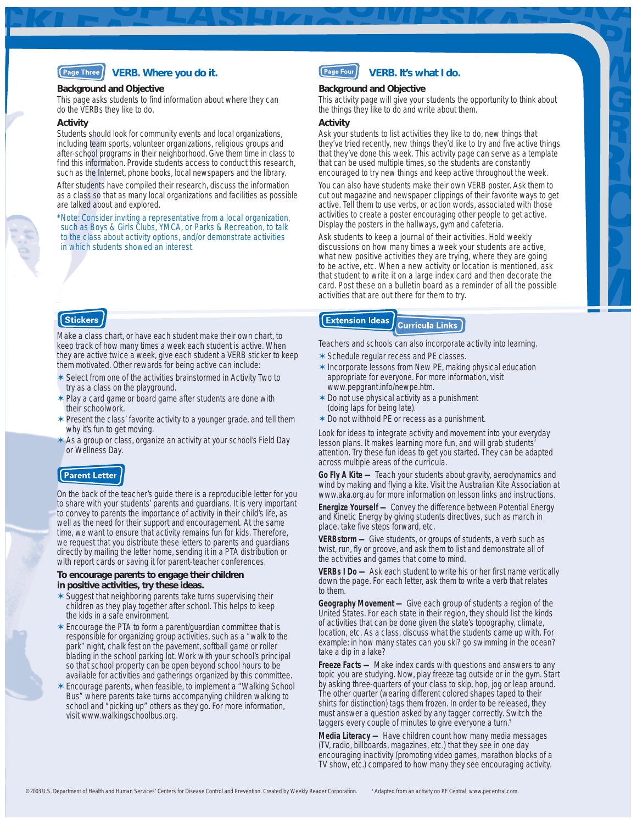### **VERB. Where you do it.**

#### *Background and Objective*

This page asks students to find information about where they can do the VERBs they like to do.

#### *Activity*

Students should look for community events and local organizations, including team sports, volunteer organizations, religious groups and after-school programs in their neighborhood. Give them time in class to find this information. Provide students access to conduct this research, such as the Internet, phone books, local newspapers and the library.

After students have compiled their research, discuss the information as a class so that as many local organizations and facilities as possible are talked about and explored.

*\*Note: Consider inviting a representative from a local organization, such as Boys & Girls Clubs, YMCA, or Parks & Recreation, to talk to the class about activity options, and/or demonstrate activities in which students showed an interest.*

# **Stickers**

Make a class chart, or have each student make their own chart, to keep track of how many times a week each student is active. When they are active twice a week, give each student a VERB sticker to keep them motivated. Other rewards for being active can include:

- ✶ *Select from one of the activities brainstormed in Activity Two to try as a class on the playground.*
- ✶ *Play a card game or board game after students are done with their schoolwork.*
- ✶ *Present the class' favorite activity to a younger grade, and tell them why it's fun to get moving.*
- ✶ *As a group or class, organize an activity at your school's Field Day or Wellness Day.*

### **Parent Letter**

On the back of the teacher's guide there is a reproducible letter for you to share with your students' parents and guardians. It is very important to convey to parents the importance of activity in their child's life, as well as the need for their support and encouragement. At the same time, we want to ensure that activity remains fun for kids. Therefore, we request that you distribute these letters to parents and guardians directly by mailing the letter home, sending it in a PTA distribution or with report cards or saving it for parent-teacher conferences.

#### *To encourage parents to engage their children in positive activities, try these ideas.*

- ✶ *Suggest that neighboring parents take turns supervising their children as they play together after school. This helps to keep the kids in a safe environment.*
- ✶ *Encourage the PTA to form a parent/guardian committee that is responsible for organizing group activities, such as a "walk to the park" night, chalk fest on the pavement, softball game or roller blading in the school parking lot. Work with your school's principal so that school property can be open beyond school hours to be available for activities and gatherings organized by this committee.*
- ✶ *Encourage parents, when feasible, to implement a "Walking School Bus" where parents take turns accompanying children walking to school and "picking up" others as they go. For more information, visit www.walkingschoolbus.org.*

#### Page Four **VERB. It's what I do.**

#### *Background and Objective*

This activity page will give your students the opportunity to think about the things they like to do and write about them.

#### *Activity*

Ask your students to list activities they like to do, new things that they've tried recently, new things they'd like to try and five active things that they've done this week. This activity page can serve as a template that can be used multiple times, so the students are constantly encouraged to try new things and keep active throughout the week.

You can also have students make their own VERB poster. Ask them to cut out magazine and newspaper clippings of their favorite ways to get active. Tell them to use verbs, or action words, associated with those activities to create a poster encouraging other people to get active. Display the posters in the hallways, gym and cafeteria.

Ask students to keep a journal of their activities. Hold weekly discussions on how many times a week your students are active, what new positive activities they are trying, where they are going to be active, etc. When a new activity or location is mentioned, ask that student to write it on a large index card and then decorate the card. Post these on a bulletin board as a reminder of all the possible activities that are out there for them to try.

#### **Extension Ideas Curricula Links**

Teachers and schools can also incorporate activity into learning.

- ✶ *Schedule regular recess and PE classes.*
- ✶ *Incorporate lessons from New PE, making physical education appropriate for everyone. For more information, visit* www.pepgrant.info/newpe.htm*.*
- ✶ *Do not use physical activity as a punishment (doing laps for being late).*
- ✶ *Do not withhold PE or recess as a punishment.*

Look for ideas to integrate activity and movement into your everyday lesson plans. It makes learning more fun, and will grab students' attention. Try these fun ideas to get you started. They can be adapted across multiple areas of the curricula.

*Go Fly A Kite —* Teach your students about gravity, aerodynamics and wind by making and flying a kite. Visit the Australian Kite Association at *www.aka.org.au* for more information on lesson links and instructions.

**Energize Yourself** - Convey the difference between Potential Energy and Kinetic Energy by giving students directives, such as march in place, take five steps forward, etc.

*VERBstorm —* Give students, or groups of students, a verb such as twist, run, fly or groove, and ask them to list and demonstrate all of the activities and games that come to mind.

*VERBs I Do —* Ask each student to write his or her first name vertically down the page. For each letter, ask them to write a verb that relates to them.

*Geography Movement —* Give each group of students a region of the United States. For each state in their region, they should list the kinds of activities that can be done given the state's topography, climate, location, etc. As a class, discuss what the students came up with. For example: in how many states can you ski? go swimming in the ocean? take a dip in a lake?

*Freeze Facts —* Make index cards with questions and answers to any topic you are studying. Now, play freeze tag outside or in the gym. Start by asking three-quarters of your class to skip, hop, jog or leap around. The other quarter (wearing different colored shapes taped to their shirts for distinction) tags them frozen. In order to be released, they must answer a question asked by any tagger correctly. Switch the taggers every couple of minutes to give everyone a turn.<sup>5</sup>

*Media Literacy —* Have children count how many media messages (TV, radio, billboards, magazines, etc.) that they see in one day encouraging inactivity (promoting video games, marathon blocks of a TV show, etc.) compared to how many they see encouraging activity.